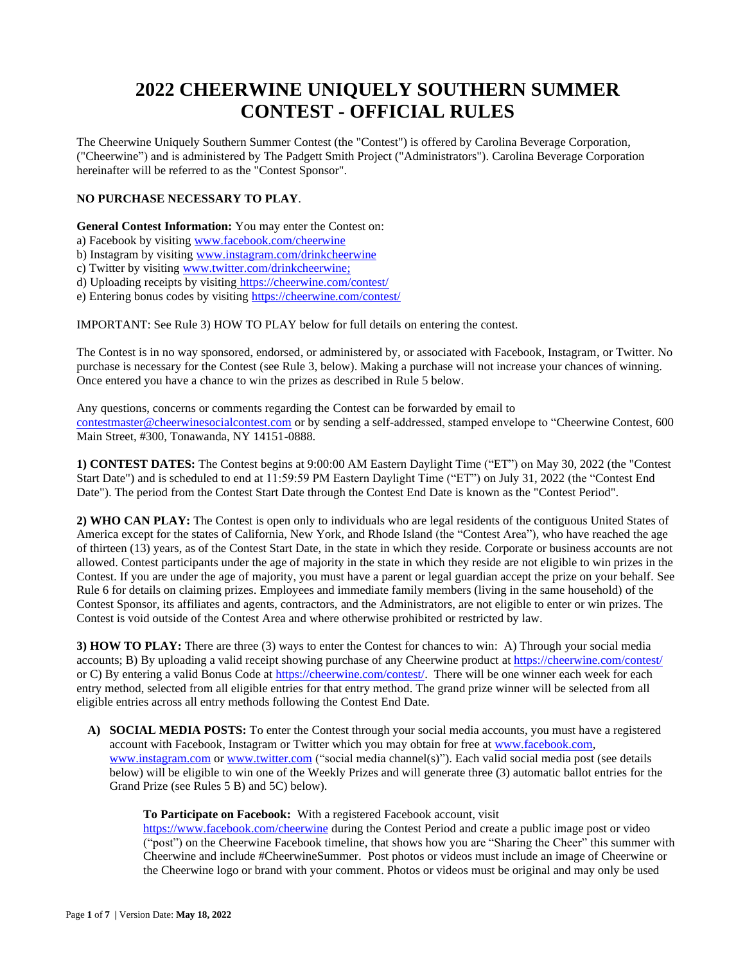# **2022 CHEERWINE UNIQUELY SOUTHERN SUMMER CONTEST - OFFICIAL RULES**

The Cheerwine Uniquely Southern Summer Contest (the "Contest") is offered by Carolina Beverage Corporation, ("Cheerwine") and is administered by The Padgett Smith Project ("Administrators"). Carolina Beverage Corporation hereinafter will be referred to as the "Contest Sponsor".

## **NO PURCHASE NECESSARY TO PLAY**.

**General Contest Information:** You may enter the Contest on:

a) Facebook by visitin[g www.facebook.com/cheerwine](http://www.facebook.com/cheerwine)

b) Instagram by visiting [www.instagram.com/drinkcheerwine](http://www.instagram.com/drinkcheerwine)

- c) Twitter by visiting [www.twitter.com/drinkcheerwine;](http://www.twitter.com/drinkcheerwine)
- d) Uploading receipts by visiting <https://cheerwine.com/contest/>

e) Entering bonus codes by visiting<https://cheerwine.com/contest/>

IMPORTANT: See Rule 3) HOW TO PLAY below for full details on entering the contest.

The Contest is in no way sponsored, endorsed, or administered by, or associated with Facebook, Instagram, or Twitter. No purchase is necessary for the Contest (see Rule 3, below). Making a purchase will not increase your chances of winning. Once entered you have a chance to win the prizes as described in Rule 5 below.

Any questions, concerns or comments regarding the Contest can be forwarded by email to [contestmaster@cheerwinesocialcontest.com](mailto:contestmaster@cheerwinesocialcontest.com) or by sending a self-addressed, stamped envelope to "Cheerwine Contest, 600 Main Street, #300, Tonawanda, NY 14151-0888.

**1) CONTEST DATES:** The Contest begins at 9:00:00 AM Eastern Daylight Time ("ET") on May 30, 2022 (the "Contest Start Date") and is scheduled to end at 11:59:59 PM Eastern Daylight Time ("ET") on July 31, 2022 (the "Contest End Date"). The period from the Contest Start Date through the Contest End Date is known as the "Contest Period".

**2) WHO CAN PLAY:** The Contest is open only to individuals who are legal residents of the contiguous United States of America except for the states of California, New York, and Rhode Island (the "Contest Area"), who have reached the age of thirteen (13) years, as of the Contest Start Date, in the state in which they reside. Corporate or business accounts are not allowed. Contest participants under the age of majority in the state in which they reside are not eligible to win prizes in the Contest. If you are under the age of majority, you must have a parent or legal guardian accept the prize on your behalf. See Rule 6 for details on claiming prizes. Employees and immediate family members (living in the same household) of the Contest Sponsor, its affiliates and agents, contractors, and the Administrators, are not eligible to enter or win prizes. The Contest is void outside of the Contest Area and where otherwise prohibited or restricted by law.

**3) HOW TO PLAY:** There are three (3) ways to enter the Contest for chances to win: A) Through your social media accounts; B) By uploading a valid receipt showing purchase of any Cheerwine product a[t https://cheerwine.com/contest/](https://cheerwine.com/contest/) or C) By entering a valid Bonus Code a[t https://cheerwine.com/contest/.](https://cheerwine.com/contest/) There will be one winner each week for each entry method, selected from all eligible entries for that entry method. The grand prize winner will be selected from all eligible entries across all entry methods following the Contest End Date.

**A) SOCIAL MEDIA POSTS:** To enter the Contest through your social media accounts, you must have a registered account with Facebook, Instagram or Twitter which you may obtain for free a[t www.facebook.com,](http://www.facebook.com/) [www.instagram.com](http://www.instagram.com/) o[r www.twitter.com](http://www.twitter.com/) ("social media channel(s)"). Each valid social media post (see details below) will be eligible to win one of the Weekly Prizes and will generate three (3) automatic ballot entries for the Grand Prize (see Rules 5 B) and 5C) below).

### **To Participate on Facebook:** With a registered Facebook account, visit

<https://www.facebook.com/cheerwine> during the Contest Period and create a public image post or video ("post") on the Cheerwine Facebook timeline, that shows how you are "Sharing the Cheer" this summer with Cheerwine and include #CheerwineSummer. Post photos or videos must include an image of Cheerwine or the Cheerwine logo or brand with your comment. Photos or videos must be original and may only be used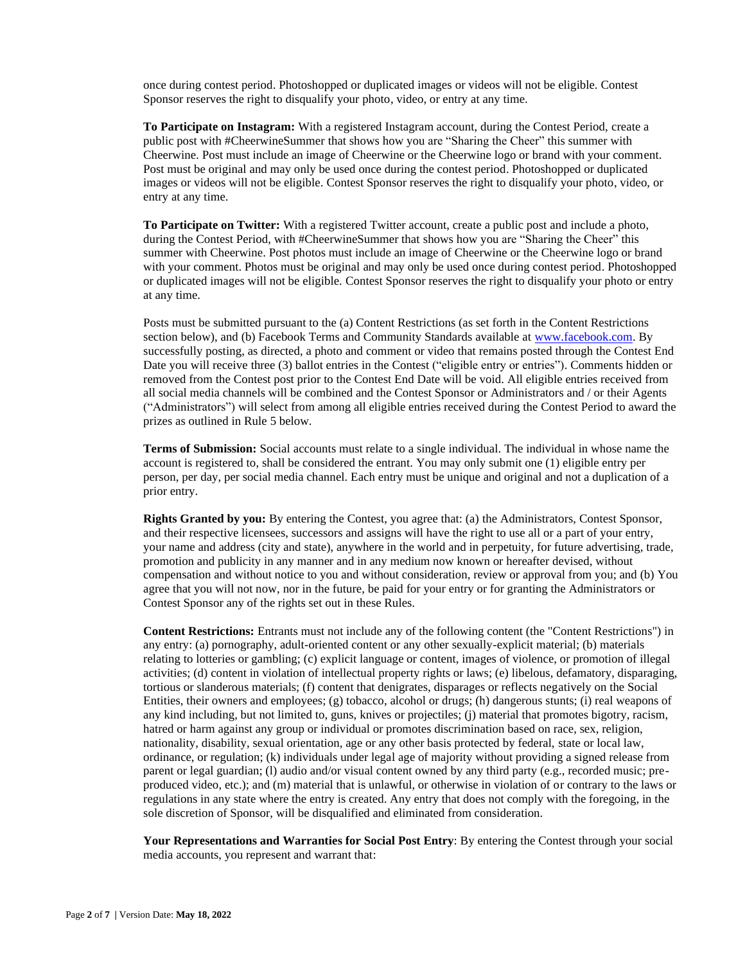once during contest period. Photoshopped or duplicated images or videos will not be eligible. Contest Sponsor reserves the right to disqualify your photo, video, or entry at any time.

**To Participate on Instagram:** With a registered Instagram account, during the Contest Period, create a public post with #CheerwineSummer that shows how you are "Sharing the Cheer" this summer with Cheerwine. Post must include an image of Cheerwine or the Cheerwine logo or brand with your comment. Post must be original and may only be used once during the contest period. Photoshopped or duplicated images or videos will not be eligible. Contest Sponsor reserves the right to disqualify your photo, video, or entry at any time.

**To Participate on Twitter:** With a registered Twitter account, create a public post and include a photo, during the Contest Period, with #CheerwineSummer that shows how you are "Sharing the Cheer" this summer with Cheerwine. Post photos must include an image of Cheerwine or the Cheerwine logo or brand with your comment. Photos must be original and may only be used once during contest period. Photoshopped or duplicated images will not be eligible. Contest Sponsor reserves the right to disqualify your photo or entry at any time.

Posts must be submitted pursuant to the (a) Content Restrictions (as set forth in the Content Restrictions section below), and (b) Facebook Terms and Community Standards available at [www.facebook.com.](http://www.facebook.com/) By successfully posting, as directed, a photo and comment or video that remains posted through the Contest End Date you will receive three (3) ballot entries in the Contest ("eligible entry or entries"). Comments hidden or removed from the Contest post prior to the Contest End Date will be void. All eligible entries received from all social media channels will be combined and the Contest Sponsor or Administrators and / or their Agents ("Administrators") will select from among all eligible entries received during the Contest Period to award the prizes as outlined in Rule 5 below.

**Terms of Submission:** Social accounts must relate to a single individual. The individual in whose name the account is registered to, shall be considered the entrant. You may only submit one (1) eligible entry per person, per day, per social media channel. Each entry must be unique and original and not a duplication of a prior entry.

**Rights Granted by you:** By entering the Contest, you agree that: (a) the Administrators, Contest Sponsor, and their respective licensees, successors and assigns will have the right to use all or a part of your entry, your name and address (city and state), anywhere in the world and in perpetuity, for future advertising, trade, promotion and publicity in any manner and in any medium now known or hereafter devised, without compensation and without notice to you and without consideration, review or approval from you; and (b) You agree that you will not now, nor in the future, be paid for your entry or for granting the Administrators or Contest Sponsor any of the rights set out in these Rules.

**Content Restrictions:** Entrants must not include any of the following content (the "Content Restrictions") in any entry: (a) pornography, adult-oriented content or any other sexually-explicit material; (b) materials relating to lotteries or gambling; (c) explicit language or content, images of violence, or promotion of illegal activities; (d) content in violation of intellectual property rights or laws; (e) libelous, defamatory, disparaging, tortious or slanderous materials; (f) content that denigrates, disparages or reflects negatively on the Social Entities, their owners and employees; (g) tobacco, alcohol or drugs; (h) dangerous stunts; (i) real weapons of any kind including, but not limited to, guns, knives or projectiles; (j) material that promotes bigotry, racism, hatred or harm against any group or individual or promotes discrimination based on race, sex, religion, nationality, disability, sexual orientation, age or any other basis protected by federal, state or local law, ordinance, or regulation; (k) individuals under legal age of majority without providing a signed release from parent or legal guardian; (l) audio and/or visual content owned by any third party (e.g., recorded music; preproduced video, etc.); and (m) material that is unlawful, or otherwise in violation of or contrary to the laws or regulations in any state where the entry is created. Any entry that does not comply with the foregoing, in the sole discretion of Sponsor, will be disqualified and eliminated from consideration.

**Your Representations and Warranties for Social Post Entry**: By entering the Contest through your social media accounts, you represent and warrant that: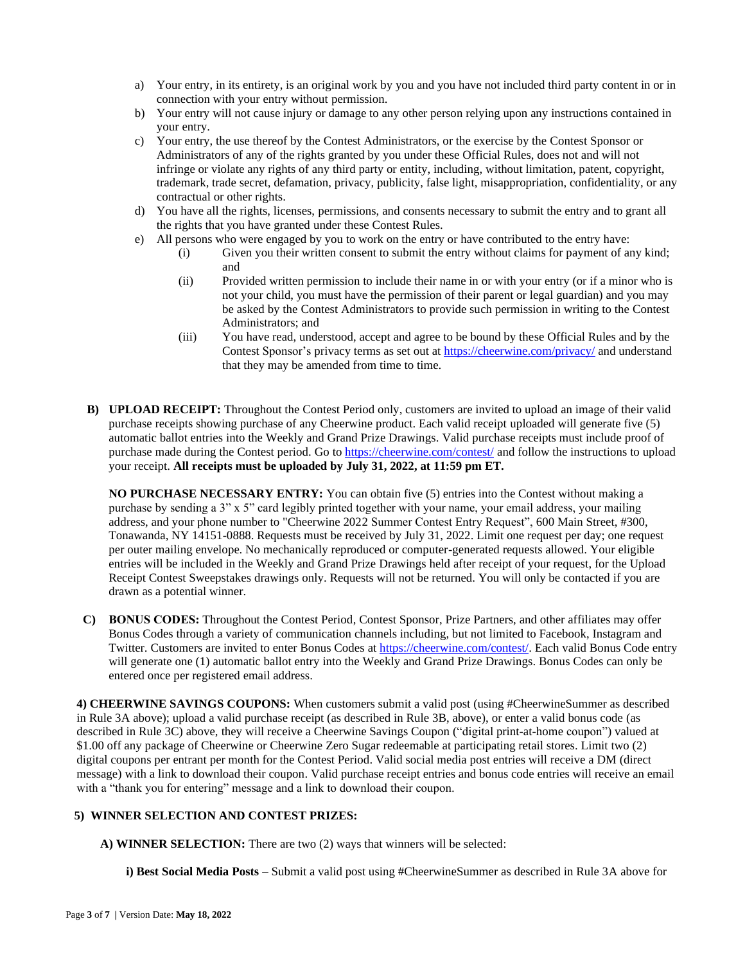- a) Your entry, in its entirety, is an original work by you and you have not included third party content in or in connection with your entry without permission.
- b) Your entry will not cause injury or damage to any other person relying upon any instructions contained in your entry.
- c) Your entry, the use thereof by the Contest Administrators, or the exercise by the Contest Sponsor or Administrators of any of the rights granted by you under these Official Rules, does not and will not infringe or violate any rights of any third party or entity, including, without limitation, patent, copyright, trademark, trade secret, defamation, privacy, publicity, false light, misappropriation, confidentiality, or any contractual or other rights.
- d) You have all the rights, licenses, permissions, and consents necessary to submit the entry and to grant all the rights that you have granted under these Contest Rules.
- e) All persons who were engaged by you to work on the entry or have contributed to the entry have:
	- (i) Given you their written consent to submit the entry without claims for payment of any kind; and
	- (ii) Provided written permission to include their name in or with your entry (or if a minor who is not your child, you must have the permission of their parent or legal guardian) and you may be asked by the Contest Administrators to provide such permission in writing to the Contest Administrators; and
	- (iii) You have read, understood, accept and agree to be bound by these Official Rules and by the Contest Sponsor's privacy terms as set out at<https://cheerwine.com/privacy/> and understand that they may be amended from time to time.
- **B) UPLOAD RECEIPT:** Throughout the Contest Period only, customers are invited to upload an image of their valid purchase receipts showing purchase of any Cheerwine product. Each valid receipt uploaded will generate five (5) automatic ballot entries into the Weekly and Grand Prize Drawings. Valid purchase receipts must include proof of purchase made during the Contest period. Go t[o https://cheerwine.com/contest/](https://cheerwine.com/contest/) and follow the instructions to upload your receipt. **All receipts must be uploaded by July 31, 2022, at 11:59 pm ET.**

**NO PURCHASE NECESSARY ENTRY:** You can obtain five (5) entries into the Contest without making a purchase by sending a 3" x 5" card legibly printed together with your name, your email address, your mailing address, and your phone number to "Cheerwine 2022 Summer Contest Entry Request", 600 Main Street, #300, Tonawanda, NY 14151-0888. Requests must be received by July 31, 2022. Limit one request per day; one request per outer mailing envelope. No mechanically reproduced or computer-generated requests allowed. Your eligible entries will be included in the Weekly and Grand Prize Drawings held after receipt of your request, for the Upload Receipt Contest Sweepstakes drawings only. Requests will not be returned. You will only be contacted if you are drawn as a potential winner.

**C) BONUS CODES:** Throughout the Contest Period, Contest Sponsor, Prize Partners, and other affiliates may offer Bonus Codes through a variety of communication channels including, but not limited to Facebook, Instagram and Twitter. Customers are invited to enter Bonus Codes at [https://cheerwine.com/contest/.](https://cheerwine.com/contest/) Each valid Bonus Code entry will generate one (1) automatic ballot entry into the Weekly and Grand Prize Drawings. Bonus Codes can only be entered once per registered email address.

**4) CHEERWINE SAVINGS COUPONS:** When customers submit a valid post (using #CheerwineSummer as described in Rule 3A above); upload a valid purchase receipt (as described in Rule 3B, above), or enter a valid bonus code (as described in Rule 3C) above, they will receive a Cheerwine Savings Coupon ("digital print-at-home coupon") valued at \$1.00 off any package of Cheerwine or Cheerwine Zero Sugar redeemable at participating retail stores. Limit two (2) digital coupons per entrant per month for the Contest Period. Valid social media post entries will receive a DM (direct message) with a link to download their coupon. Valid purchase receipt entries and bonus code entries will receive an email with a "thank you for entering" message and a link to download their coupon.

### **5) WINNER SELECTION AND CONTEST PRIZES:**

**A) WINNER SELECTION:** There are two (2) ways that winners will be selected:

**i) Best Social Media Posts** – Submit a valid post using #CheerwineSummer as described in Rule 3A above for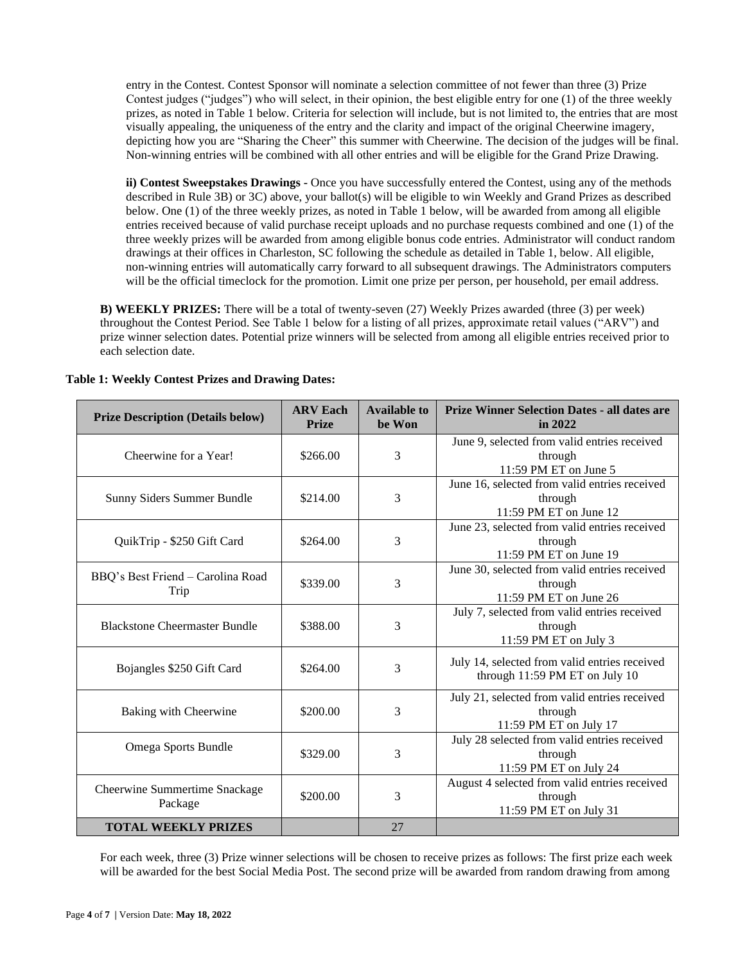entry in the Contest. Contest Sponsor will nominate a selection committee of not fewer than three (3) Prize Contest judges ("judges") who will select, in their opinion, the best eligible entry for one (1) of the three weekly prizes, as noted in Table 1 below. Criteria for selection will include, but is not limited to, the entries that are most visually appealing, the uniqueness of the entry and the clarity and impact of the original Cheerwine imagery, depicting how you are "Sharing the Cheer" this summer with Cheerwine. The decision of the judges will be final. Non-winning entries will be combined with all other entries and will be eligible for the Grand Prize Drawing.

**ii) Contest Sweepstakes Drawings -** Once you have successfully entered the Contest, using any of the methods described in Rule 3B) or 3C) above, your ballot(s) will be eligible to win Weekly and Grand Prizes as described below. One (1) of the three weekly prizes, as noted in Table 1 below, will be awarded from among all eligible entries received because of valid purchase receipt uploads and no purchase requests combined and one (1) of the three weekly prizes will be awarded from among eligible bonus code entries. Administrator will conduct random drawings at their offices in Charleston, SC following the schedule as detailed in Table 1, below. All eligible, non-winning entries will automatically carry forward to all subsequent drawings. The Administrators computers will be the official timeclock for the promotion. Limit one prize per person, per household, per email address.

**B) WEEKLY PRIZES:** There will be a total of twenty-seven (27) Weekly Prizes awarded (three (3) per week) throughout the Contest Period. See Table 1 below for a listing of all prizes, approximate retail values ("ARV") and prize winner selection dates. Potential prize winners will be selected from among all eligible entries received prior to each selection date.

| <b>Prize Description (Details below)</b>  | <b>ARV Each</b><br><b>Prize</b> | <b>Available to</b><br>be Won | <b>Prize Winner Selection Dates - all dates are</b><br>in $2022$                   |
|-------------------------------------------|---------------------------------|-------------------------------|------------------------------------------------------------------------------------|
| Cheerwine for a Year!                     | \$266.00                        | 3                             | June 9, selected from valid entries received<br>through<br>11:59 PM ET on June 5   |
| Sunny Siders Summer Bundle                | \$214.00                        | 3                             | June 16, selected from valid entries received<br>through<br>11:59 PM ET on June 12 |
| QuikTrip - \$250 Gift Card                | \$264.00                        | 3                             | June 23, selected from valid entries received<br>through<br>11:59 PM ET on June 19 |
| BBQ's Best Friend - Carolina Road<br>Trip | \$339.00                        | 3                             | June 30, selected from valid entries received<br>through<br>11:59 PM ET on June 26 |
| <b>Blackstone Cheermaster Bundle</b>      | \$388.00                        | 3                             | July 7, selected from valid entries received<br>through<br>11:59 PM ET on July 3   |
| Bojangles \$250 Gift Card                 | \$264.00                        | 3                             | July 14, selected from valid entries received<br>through 11:59 PM ET on July 10    |
| Baking with Cheerwine                     | \$200.00                        | 3                             | July 21, selected from valid entries received<br>through<br>11:59 PM ET on July 17 |
| Omega Sports Bundle                       | \$329.00                        | 3                             | July 28 selected from valid entries received<br>through<br>11:59 PM ET on July 24  |
| Cheerwine Summertime Snackage<br>Package  | \$200.00                        | 3                             | August 4 selected from valid entries received<br>through<br>11:59 PM ET on July 31 |
| <b>TOTAL WEEKLY PRIZES</b>                |                                 | 27                            |                                                                                    |

**Table 1: Weekly Contest Prizes and Drawing Dates:**

For each week, three (3) Prize winner selections will be chosen to receive prizes as follows: The first prize each week will be awarded for the best Social Media Post. The second prize will be awarded from random drawing from among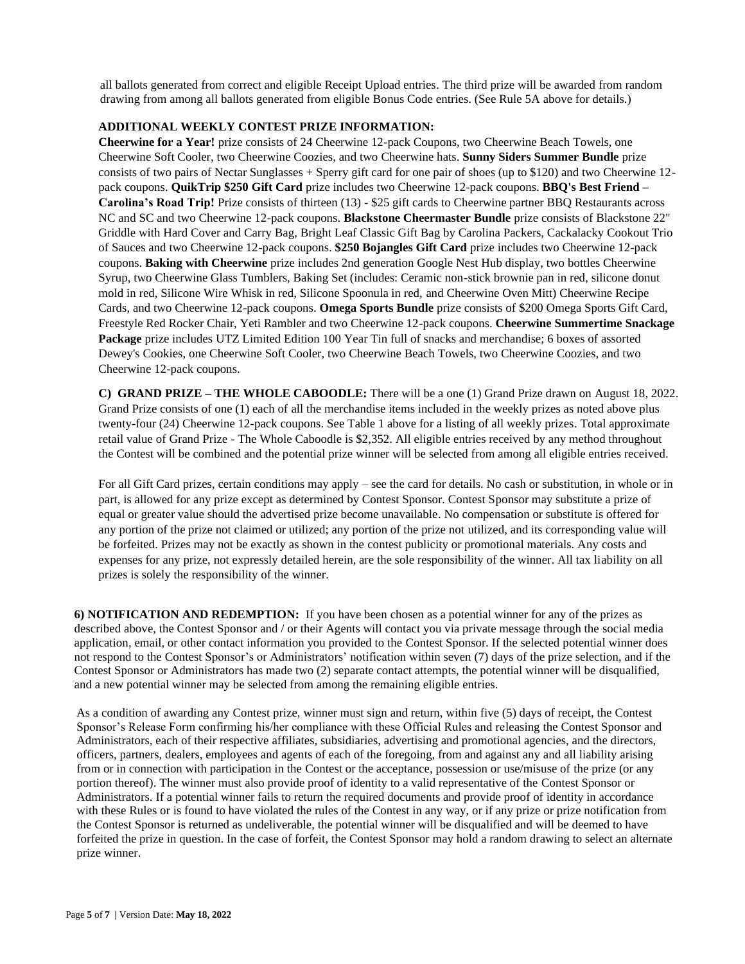all ballots generated from correct and eligible Receipt Upload entries. The third prize will be awarded from random drawing from among all ballots generated from eligible Bonus Code entries. (See Rule 5A above for details.)

#### **ADDITIONAL WEEKLY CONTEST PRIZE INFORMATION:**

**Cheerwine for a Year!** prize consists of 24 Cheerwine 12-pack Coupons, two Cheerwine Beach Towels, one Cheerwine Soft Cooler, two Cheerwine Coozies, and two Cheerwine hats. **Sunny Siders Summer Bundle** prize consists of two pairs of Nectar Sunglasses + Sperry gift card for one pair of shoes (up to \$120) and two Cheerwine 12 pack coupons. **QuikTrip \$250 Gift Card** prize includes two Cheerwine 12-pack coupons. **BBQ's Best Friend – Carolina's Road Trip!** Prize consists of thirteen (13) - \$25 gift cards to Cheerwine partner BBQ Restaurants across NC and SC and two Cheerwine 12-pack coupons. **Blackstone Cheermaster Bundle** prize consists of Blackstone 22" Griddle with Hard Cover and Carry Bag, Bright Leaf Classic Gift Bag by Carolina Packers, Cackalacky Cookout Trio of Sauces and two Cheerwine 12-pack coupons. **\$250 Bojangles Gift Card** prize includes two Cheerwine 12-pack coupons. **Baking with Cheerwine** prize includes 2nd generation Google Nest Hub display, two bottles Cheerwine Syrup, two Cheerwine Glass Tumblers, Baking Set (includes: Ceramic non-stick brownie pan in red, silicone donut mold in red, Silicone Wire Whisk in red, Silicone Spoonula in red, and Cheerwine Oven Mitt) Cheerwine Recipe Cards, and two Cheerwine 12-pack coupons. **Omega Sports Bundle** prize consists of \$200 Omega Sports Gift Card, Freestyle Red Rocker Chair, Yeti Rambler and two Cheerwine 12-pack coupons. **Cheerwine Summertime Snackage Package** prize includes UTZ Limited Edition 100 Year Tin full of snacks and merchandise; 6 boxes of assorted Dewey's Cookies, one Cheerwine Soft Cooler, two Cheerwine Beach Towels, two Cheerwine Coozies, and two Cheerwine 12-pack coupons.

**C) GRAND PRIZE – THE WHOLE CABOODLE:** There will be a one (1) Grand Prize drawn on August 18, 2022. Grand Prize consists of one (1) each of all the merchandise items included in the weekly prizes as noted above plus twenty-four (24) Cheerwine 12-pack coupons. See Table 1 above for a listing of all weekly prizes. Total approximate retail value of Grand Prize - The Whole Caboodle is \$2,352. All eligible entries received by any method throughout the Contest will be combined and the potential prize winner will be selected from among all eligible entries received.

For all Gift Card prizes, certain conditions may apply – see the card for details. No cash or substitution, in whole or in part, is allowed for any prize except as determined by Contest Sponsor. Contest Sponsor may substitute a prize of equal or greater value should the advertised prize become unavailable. No compensation or substitute is offered for any portion of the prize not claimed or utilized; any portion of the prize not utilized, and its corresponding value will be forfeited. Prizes may not be exactly as shown in the contest publicity or promotional materials. Any costs and expenses for any prize, not expressly detailed herein, are the sole responsibility of the winner. All tax liability on all prizes is solely the responsibility of the winner.

**6) NOTIFICATION AND REDEMPTION:** If you have been chosen as a potential winner for any of the prizes as described above, the Contest Sponsor and / or their Agents will contact you via private message through the social media application, email, or other contact information you provided to the Contest Sponsor. If the selected potential winner does not respond to the Contest Sponsor's or Administrators' notification within seven (7) days of the prize selection, and if the Contest Sponsor or Administrators has made two (2) separate contact attempts, the potential winner will be disqualified, and a new potential winner may be selected from among the remaining eligible entries.

As a condition of awarding any Contest prize, winner must sign and return, within five (5) days of receipt, the Contest Sponsor's Release Form confirming his/her compliance with these Official Rules and releasing the Contest Sponsor and Administrators, each of their respective affiliates, subsidiaries, advertising and promotional agencies, and the directors, officers, partners, dealers, employees and agents of each of the foregoing, from and against any and all liability arising from or in connection with participation in the Contest or the acceptance, possession or use/misuse of the prize (or any portion thereof). The winner must also provide proof of identity to a valid representative of the Contest Sponsor or Administrators. If a potential winner fails to return the required documents and provide proof of identity in accordance with these Rules or is found to have violated the rules of the Contest in any way, or if any prize or prize notification from the Contest Sponsor is returned as undeliverable, the potential winner will be disqualified and will be deemed to have forfeited the prize in question. In the case of forfeit, the Contest Sponsor may hold a random drawing to select an alternate prize winner.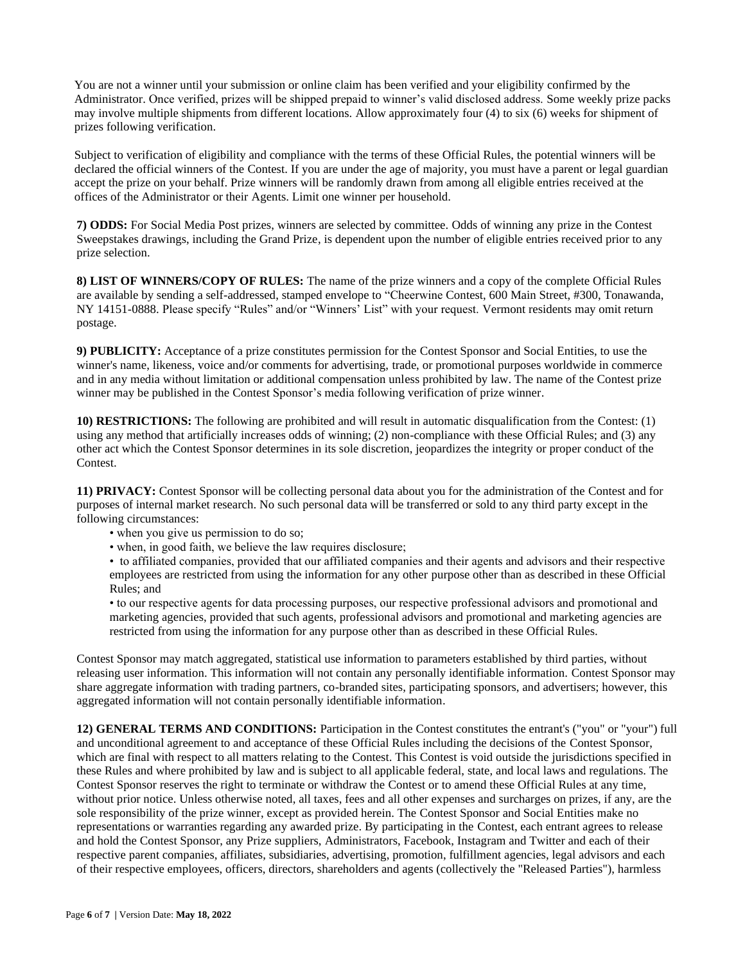You are not a winner until your submission or online claim has been verified and your eligibility confirmed by the Administrator. Once verified, prizes will be shipped prepaid to winner's valid disclosed address. Some weekly prize packs may involve multiple shipments from different locations. Allow approximately four (4) to six (6) weeks for shipment of prizes following verification.

Subject to verification of eligibility and compliance with the terms of these Official Rules, the potential winners will be declared the official winners of the Contest. If you are under the age of majority, you must have a parent or legal guardian accept the prize on your behalf. Prize winners will be randomly drawn from among all eligible entries received at the offices of the Administrator or their Agents. Limit one winner per household.

**7) ODDS:** For Social Media Post prizes, winners are selected by committee. Odds of winning any prize in the Contest Sweepstakes drawings, including the Grand Prize, is dependent upon the number of eligible entries received prior to any prize selection.

**8) LIST OF WINNERS/COPY OF RULES:** The name of the prize winners and a copy of the complete Official Rules are available by sending a self-addressed, stamped envelope to "Cheerwine Contest, 600 Main Street, #300, Tonawanda, NY 14151-0888. Please specify "Rules" and/or "Winners' List" with your request. Vermont residents may omit return postage.

**9) PUBLICITY:** Acceptance of a prize constitutes permission for the Contest Sponsor and Social Entities, to use the winner's name, likeness, voice and/or comments for advertising, trade, or promotional purposes worldwide in commerce and in any media without limitation or additional compensation unless prohibited by law. The name of the Contest prize winner may be published in the Contest Sponsor's media following verification of prize winner.

**10) RESTRICTIONS:** The following are prohibited and will result in automatic disqualification from the Contest: (1) using any method that artificially increases odds of winning; (2) non-compliance with these Official Rules; and (3) any other act which the Contest Sponsor determines in its sole discretion, jeopardizes the integrity or proper conduct of the Contest.

**11) PRIVACY:** Contest Sponsor will be collecting personal data about you for the administration of the Contest and for purposes of internal market research. No such personal data will be transferred or sold to any third party except in the following circumstances:

- when you give us permission to do so;
- when, in good faith, we believe the law requires disclosure;

• to affiliated companies, provided that our affiliated companies and their agents and advisors and their respective employees are restricted from using the information for any other purpose other than as described in these Official Rules; and

• to our respective agents for data processing purposes, our respective professional advisors and promotional and marketing agencies, provided that such agents, professional advisors and promotional and marketing agencies are restricted from using the information for any purpose other than as described in these Official Rules.

Contest Sponsor may match aggregated, statistical use information to parameters established by third parties, without releasing user information. This information will not contain any personally identifiable information. Contest Sponsor may share aggregate information with trading partners, co-branded sites, participating sponsors, and advertisers; however, this aggregated information will not contain personally identifiable information.

**12) GENERAL TERMS AND CONDITIONS:** Participation in the Contest constitutes the entrant's ("you" or "your") full and unconditional agreement to and acceptance of these Official Rules including the decisions of the Contest Sponsor, which are final with respect to all matters relating to the Contest. This Contest is void outside the jurisdictions specified in these Rules and where prohibited by law and is subject to all applicable federal, state, and local laws and regulations. The Contest Sponsor reserves the right to terminate or withdraw the Contest or to amend these Official Rules at any time, without prior notice. Unless otherwise noted, all taxes, fees and all other expenses and surcharges on prizes, if any, are the sole responsibility of the prize winner, except as provided herein. The Contest Sponsor and Social Entities make no representations or warranties regarding any awarded prize. By participating in the Contest, each entrant agrees to release and hold the Contest Sponsor, any Prize suppliers, Administrators, Facebook, Instagram and Twitter and each of their respective parent companies, affiliates, subsidiaries, advertising, promotion, fulfillment agencies, legal advisors and each of their respective employees, officers, directors, shareholders and agents (collectively the "Released Parties"), harmless